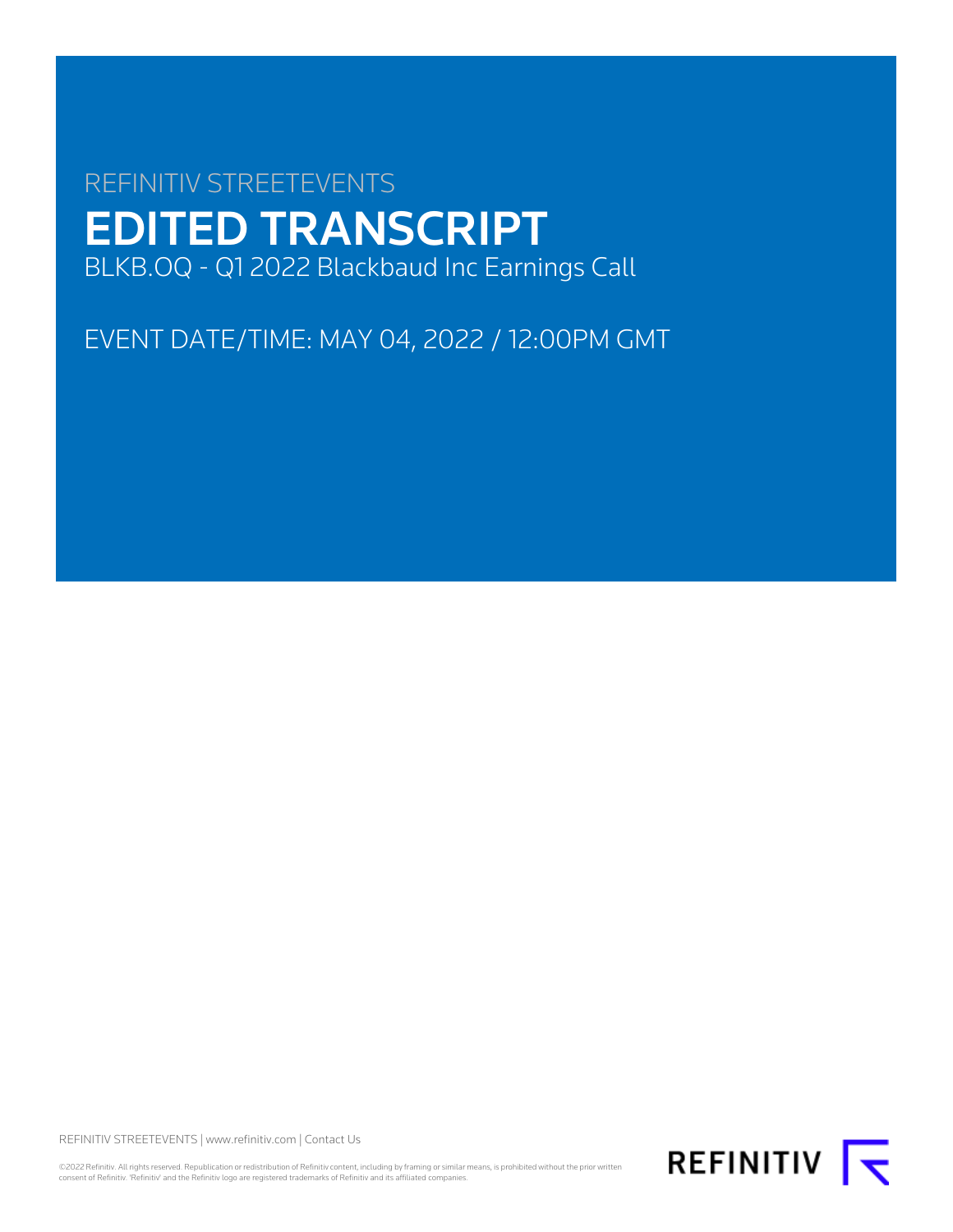# REFINITIV STREETEVENTS EDITED TRANSCRIPT BLKB.OQ - Q1 2022 Blackbaud Inc Earnings Call

EVENT DATE/TIME: MAY 04, 2022 / 12:00PM GMT

REFINITIV STREETEVENTS | [www.refinitiv.com](https://www.refinitiv.com/) | [Contact Us](https://www.refinitiv.com/en/contact-us)

©2022 Refinitiv. All rights reserved. Republication or redistribution of Refinitiv content, including by framing or similar means, is prohibited without the prior written<br>consent of Refinitiv. 'Refinitiv' and the Refinitiv

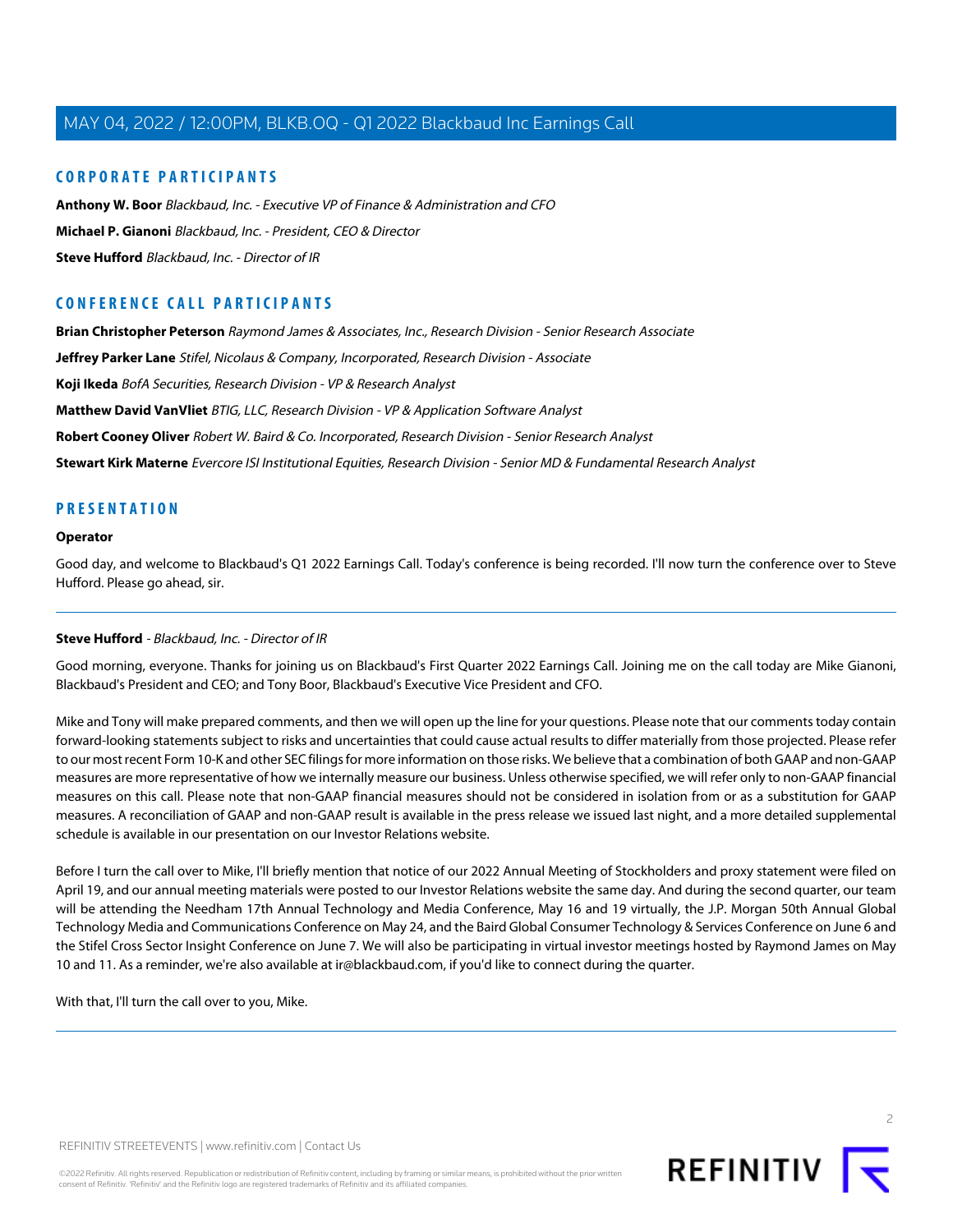## **CORPORATE PARTICIPANTS**

**[Anthony W. Boor](#page-3-0)** Blackbaud, Inc. - Executive VP of Finance & Administration and CFO **[Michael P. Gianoni](#page-2-0)** Blackbaud, Inc. - President, CEO & Director **[Steve Hufford](#page-1-0)** Blackbaud, Inc. - Director of IR

# **CONFERENCE CALL PARTICIPANTS**

**[Brian Christopher Peterson](#page-6-0)** Raymond James & Associates, Inc., Research Division - Senior Research Associate

**[Jeffrey Parker Lane](#page-5-0)** Stifel, Nicolaus & Company, Incorporated, Research Division - Associate

**[Koji Ikeda](#page-7-0)** BofA Securities, Research Division - VP & Research Analyst

**[Matthew David VanVliet](#page-9-0)** BTIG, LLC, Research Division - VP & Application Software Analyst

**[Robert Cooney Oliver](#page-8-0)** Robert W. Baird & Co. Incorporated, Research Division - Senior Research Analyst

**[Stewart Kirk Materne](#page-6-1)** Evercore ISI Institutional Equities, Research Division - Senior MD & Fundamental Research Analyst

## **PRESENTATION**

## **Operator**

<span id="page-1-0"></span>Good day, and welcome to Blackbaud's Q1 2022 Earnings Call. Today's conference is being recorded. I'll now turn the conference over to Steve Hufford. Please go ahead, sir.

## **Steve Hufford** - Blackbaud, Inc. - Director of IR

Good morning, everyone. Thanks for joining us on Blackbaud's First Quarter 2022 Earnings Call. Joining me on the call today are Mike Gianoni, Blackbaud's President and CEO; and Tony Boor, Blackbaud's Executive Vice President and CFO.

Mike and Tony will make prepared comments, and then we will open up the line for your questions. Please note that our comments today contain forward-looking statements subject to risks and uncertainties that could cause actual results to differ materially from those projected. Please refer to our most recent Form 10-K and other SEC filings for more information on those risks. We believe that a combination of both GAAP and non-GAAP measures are more representative of how we internally measure our business. Unless otherwise specified, we will refer only to non-GAAP financial measures on this call. Please note that non-GAAP financial measures should not be considered in isolation from or as a substitution for GAAP measures. A reconciliation of GAAP and non-GAAP result is available in the press release we issued last night, and a more detailed supplemental schedule is available in our presentation on our Investor Relations website.

Before I turn the call over to Mike, I'll briefly mention that notice of our 2022 Annual Meeting of Stockholders and proxy statement were filed on April 19, and our annual meeting materials were posted to our Investor Relations website the same day. And during the second quarter, our team will be attending the Needham 17th Annual Technology and Media Conference, May 16 and 19 virtually, the J.P. Morgan 50th Annual Global Technology Media and Communications Conference on May 24, and the Baird Global Consumer Technology & Services Conference on June 6 and the Stifel Cross Sector Insight Conference on June 7. We will also be participating in virtual investor meetings hosted by Raymond James on May 10 and 11. As a reminder, we're also available at ir@blackbaud.com, if you'd like to connect during the quarter.

With that, I'll turn the call over to you, Mike.

©2022 Refinitiv. All rights reserved. Republication or redistribution of Refinitiv content, including by framing or similar means, is prohibited without the prior written consent of Refinitiv. 'Refinitiv' and the Refinitiv logo are registered trademarks of Refinitiv and its affiliated companies.

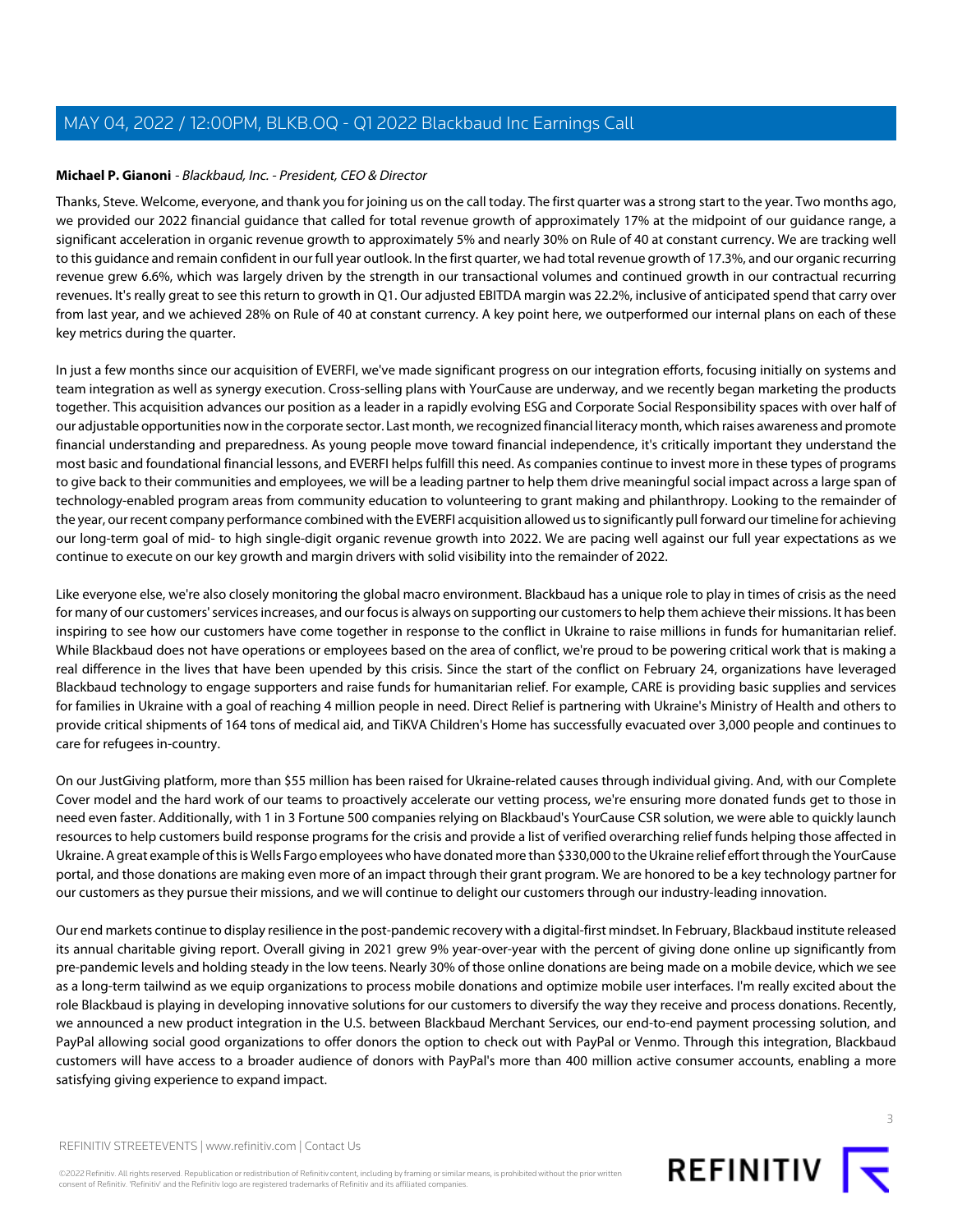## <span id="page-2-0"></span>**Michael P. Gianoni** - Blackbaud, Inc. - President, CEO & Director

Thanks, Steve. Welcome, everyone, and thank you for joining us on the call today. The first quarter was a strong start to the year. Two months ago, we provided our 2022 financial guidance that called for total revenue growth of approximately 17% at the midpoint of our guidance range, a significant acceleration in organic revenue growth to approximately 5% and nearly 30% on Rule of 40 at constant currency. We are tracking well to this guidance and remain confident in our full year outlook. In the first quarter, we had total revenue growth of 17.3%, and our organic recurring revenue grew 6.6%, which was largely driven by the strength in our transactional volumes and continued growth in our contractual recurring revenues. It's really great to see this return to growth in Q1. Our adjusted EBITDA margin was 22.2%, inclusive of anticipated spend that carry over from last year, and we achieved 28% on Rule of 40 at constant currency. A key point here, we outperformed our internal plans on each of these key metrics during the quarter.

In just a few months since our acquisition of EVERFI, we've made significant progress on our integration efforts, focusing initially on systems and team integration as well as synergy execution. Cross-selling plans with YourCause are underway, and we recently began marketing the products together. This acquisition advances our position as a leader in a rapidly evolving ESG and Corporate Social Responsibility spaces with over half of our adjustable opportunities now in the corporate sector. Last month, we recognized financial literacy month, which raises awareness and promote financial understanding and preparedness. As young people move toward financial independence, it's critically important they understand the most basic and foundational financial lessons, and EVERFI helps fulfill this need. As companies continue to invest more in these types of programs to give back to their communities and employees, we will be a leading partner to help them drive meaningful social impact across a large span of technology-enabled program areas from community education to volunteering to grant making and philanthropy. Looking to the remainder of the year, our recent company performance combined with the EVERFI acquisition allowed us to significantly pull forward our timeline for achieving our long-term goal of mid- to high single-digit organic revenue growth into 2022. We are pacing well against our full year expectations as we continue to execute on our key growth and margin drivers with solid visibility into the remainder of 2022.

Like everyone else, we're also closely monitoring the global macro environment. Blackbaud has a unique role to play in times of crisis as the need for many of our customers' services increases, and our focus is always on supporting our customers to help them achieve their missions. It has been inspiring to see how our customers have come together in response to the conflict in Ukraine to raise millions in funds for humanitarian relief. While Blackbaud does not have operations or employees based on the area of conflict, we're proud to be powering critical work that is making a real difference in the lives that have been upended by this crisis. Since the start of the conflict on February 24, organizations have leveraged Blackbaud technology to engage supporters and raise funds for humanitarian relief. For example, CARE is providing basic supplies and services for families in Ukraine with a goal of reaching 4 million people in need. Direct Relief is partnering with Ukraine's Ministry of Health and others to provide critical shipments of 164 tons of medical aid, and TiKVA Children's Home has successfully evacuated over 3,000 people and continues to care for refugees in-country.

On our JustGiving platform, more than \$55 million has been raised for Ukraine-related causes through individual giving. And, with our Complete Cover model and the hard work of our teams to proactively accelerate our vetting process, we're ensuring more donated funds get to those in need even faster. Additionally, with 1 in 3 Fortune 500 companies relying on Blackbaud's YourCause CSR solution, we were able to quickly launch resources to help customers build response programs for the crisis and provide a list of verified overarching relief funds helping those affected in Ukraine. A great example of this is Wells Fargo employees who have donated more than \$330,000 to the Ukraine relief effort through the YourCause portal, and those donations are making even more of an impact through their grant program. We are honored to be a key technology partner for our customers as they pursue their missions, and we will continue to delight our customers through our industry-leading innovation.

Our end markets continue to display resilience in the post-pandemic recovery with a digital-first mindset. In February, Blackbaud institute released its annual charitable giving report. Overall giving in 2021 grew 9% year-over-year with the percent of giving done online up significantly from pre-pandemic levels and holding steady in the low teens. Nearly 30% of those online donations are being made on a mobile device, which we see as a long-term tailwind as we equip organizations to process mobile donations and optimize mobile user interfaces. I'm really excited about the role Blackbaud is playing in developing innovative solutions for our customers to diversify the way they receive and process donations. Recently, we announced a new product integration in the U.S. between Blackbaud Merchant Services, our end-to-end payment processing solution, and PayPal allowing social good organizations to offer donors the option to check out with PayPal or Venmo. Through this integration, Blackbaud customers will have access to a broader audience of donors with PayPal's more than 400 million active consumer accounts, enabling a more satisfying giving experience to expand impact.

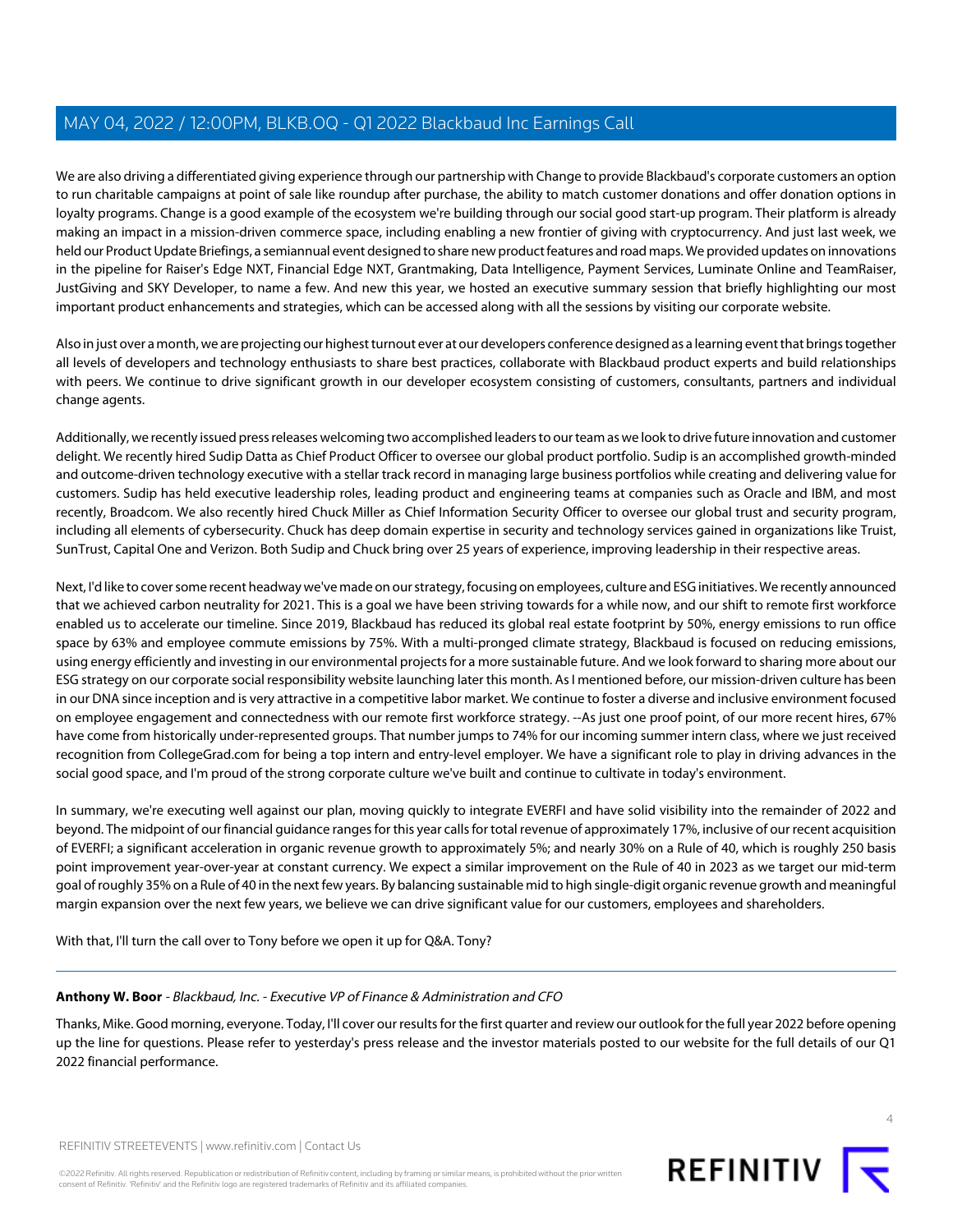We are also driving a differentiated giving experience through our partnership with Change to provide Blackbaud's corporate customers an option to run charitable campaigns at point of sale like roundup after purchase, the ability to match customer donations and offer donation options in loyalty programs. Change is a good example of the ecosystem we're building through our social good start-up program. Their platform is already making an impact in a mission-driven commerce space, including enabling a new frontier of giving with cryptocurrency. And just last week, we held our Product Update Briefings, a semiannual event designed to share new product features and road maps. We provided updates on innovations in the pipeline for Raiser's Edge NXT, Financial Edge NXT, Grantmaking, Data Intelligence, Payment Services, Luminate Online and TeamRaiser, JustGiving and SKY Developer, to name a few. And new this year, we hosted an executive summary session that briefly highlighting our most important product enhancements and strategies, which can be accessed along with all the sessions by visiting our corporate website.

Also in just over a month, we are projecting our highest turnout ever at our developers conference designed as a learning event that brings together all levels of developers and technology enthusiasts to share best practices, collaborate with Blackbaud product experts and build relationships with peers. We continue to drive significant growth in our developer ecosystem consisting of customers, consultants, partners and individual change agents.

Additionally, we recently issued press releases welcoming two accomplished leaders to our team as we look to drive future innovation and customer delight. We recently hired Sudip Datta as Chief Product Officer to oversee our global product portfolio. Sudip is an accomplished growth-minded and outcome-driven technology executive with a stellar track record in managing large business portfolios while creating and delivering value for customers. Sudip has held executive leadership roles, leading product and engineering teams at companies such as Oracle and IBM, and most recently, Broadcom. We also recently hired Chuck Miller as Chief Information Security Officer to oversee our global trust and security program, including all elements of cybersecurity. Chuck has deep domain expertise in security and technology services gained in organizations like Truist, SunTrust, Capital One and Verizon. Both Sudip and Chuck bring over 25 years of experience, improving leadership in their respective areas.

Next, I'd like to cover some recent headway we've made on our strategy, focusing on employees, culture and ESG initiatives. We recently announced that we achieved carbon neutrality for 2021. This is a goal we have been striving towards for a while now, and our shift to remote first workforce enabled us to accelerate our timeline. Since 2019, Blackbaud has reduced its global real estate footprint by 50%, energy emissions to run office space by 63% and employee commute emissions by 75%. With a multi-pronged climate strategy, Blackbaud is focused on reducing emissions, using energy efficiently and investing in our environmental projects for a more sustainable future. And we look forward to sharing more about our ESG strategy on our corporate social responsibility website launching later this month. As I mentioned before, our mission-driven culture has been in our DNA since inception and is very attractive in a competitive labor market. We continue to foster a diverse and inclusive environment focused on employee engagement and connectedness with our remote first workforce strategy. --As just one proof point, of our more recent hires, 67% have come from historically under-represented groups. That number jumps to 74% for our incoming summer intern class, where we just received recognition from CollegeGrad.com for being a top intern and entry-level employer. We have a significant role to play in driving advances in the social good space, and I'm proud of the strong corporate culture we've built and continue to cultivate in today's environment.

In summary, we're executing well against our plan, moving quickly to integrate EVERFI and have solid visibility into the remainder of 2022 and beyond. The midpoint of our financial guidance ranges for this year calls for total revenue of approximately 17%, inclusive of our recent acquisition of EVERFI; a significant acceleration in organic revenue growth to approximately 5%; and nearly 30% on a Rule of 40, which is roughly 250 basis point improvement year-over-year at constant currency. We expect a similar improvement on the Rule of 40 in 2023 as we target our mid-term goal of roughly 35% on a Rule of 40 in the next few years. By balancing sustainable mid to high single-digit organic revenue growth and meaningful margin expansion over the next few years, we believe we can drive significant value for our customers, employees and shareholders.

<span id="page-3-0"></span>With that, I'll turn the call over to Tony before we open it up for Q&A. Tony?

## **Anthony W. Boor** - Blackbaud, Inc. - Executive VP of Finance & Administration and CFO

Thanks, Mike. Good morning, everyone. Today, I'll cover our results for the first quarter and review our outlook for the full year 2022 before opening up the line for questions. Please refer to yesterday's press release and the investor materials posted to our website for the full details of our Q1 2022 financial performance.

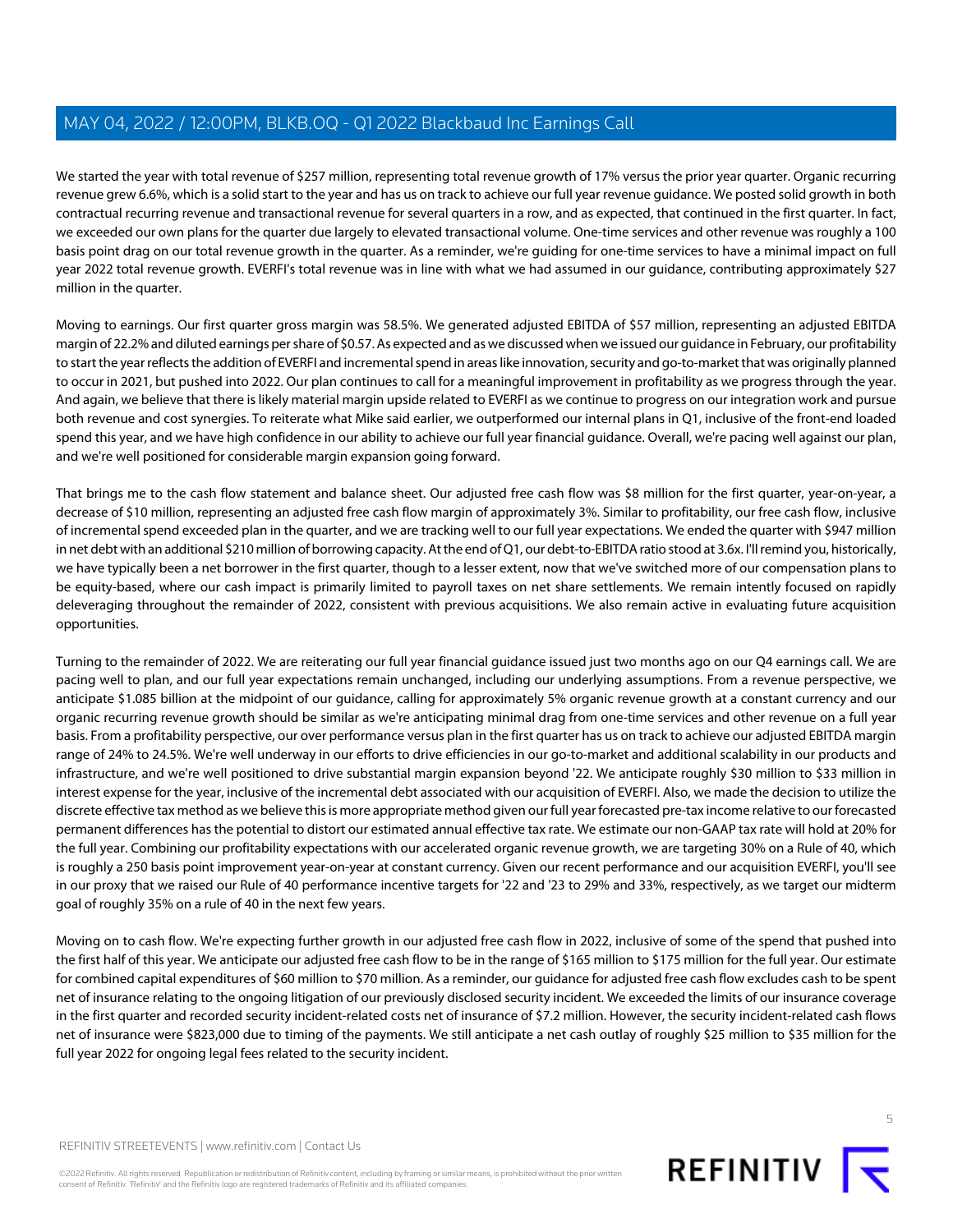We started the year with total revenue of \$257 million, representing total revenue growth of 17% versus the prior year quarter. Organic recurring revenue grew 6.6%, which is a solid start to the year and has us on track to achieve our full year revenue guidance. We posted solid growth in both contractual recurring revenue and transactional revenue for several quarters in a row, and as expected, that continued in the first quarter. In fact, we exceeded our own plans for the quarter due largely to elevated transactional volume. One-time services and other revenue was roughly a 100 basis point drag on our total revenue growth in the quarter. As a reminder, we're guiding for one-time services to have a minimal impact on full year 2022 total revenue growth. EVERFI's total revenue was in line with what we had assumed in our guidance, contributing approximately \$27 million in the quarter.

Moving to earnings. Our first quarter gross margin was 58.5%. We generated adjusted EBITDA of \$57 million, representing an adjusted EBITDA margin of 22.2% and diluted earnings per share of \$0.57. As expected and as we discussed when we issued our guidance in February, our profitability to start the year reflects the addition of EVERFI and incremental spend in areas like innovation, security and go-to-market that was originally planned to occur in 2021, but pushed into 2022. Our plan continues to call for a meaningful improvement in profitability as we progress through the year. And again, we believe that there is likely material margin upside related to EVERFI as we continue to progress on our integration work and pursue both revenue and cost synergies. To reiterate what Mike said earlier, we outperformed our internal plans in Q1, inclusive of the front-end loaded spend this year, and we have high confidence in our ability to achieve our full year financial guidance. Overall, we're pacing well against our plan, and we're well positioned for considerable margin expansion going forward.

That brings me to the cash flow statement and balance sheet. Our adjusted free cash flow was \$8 million for the first quarter, year-on-year, a decrease of \$10 million, representing an adjusted free cash flow margin of approximately 3%. Similar to profitability, our free cash flow, inclusive of incremental spend exceeded plan in the quarter, and we are tracking well to our full year expectations. We ended the quarter with \$947 million in net debt with an additional \$210 million of borrowing capacity. At the end of Q1, our debt-to-EBITDA ratio stood at 3.6x. I'll remind you, historically, we have typically been a net borrower in the first quarter, though to a lesser extent, now that we've switched more of our compensation plans to be equity-based, where our cash impact is primarily limited to payroll taxes on net share settlements. We remain intently focused on rapidly deleveraging throughout the remainder of 2022, consistent with previous acquisitions. We also remain active in evaluating future acquisition opportunities.

Turning to the remainder of 2022. We are reiterating our full year financial guidance issued just two months ago on our Q4 earnings call. We are pacing well to plan, and our full year expectations remain unchanged, including our underlying assumptions. From a revenue perspective, we anticipate \$1.085 billion at the midpoint of our guidance, calling for approximately 5% organic revenue growth at a constant currency and our organic recurring revenue growth should be similar as we're anticipating minimal drag from one-time services and other revenue on a full year basis. From a profitability perspective, our over performance versus plan in the first quarter has us on track to achieve our adjusted EBITDA margin range of 24% to 24.5%. We're well underway in our efforts to drive efficiencies in our go-to-market and additional scalability in our products and infrastructure, and we're well positioned to drive substantial margin expansion beyond '22. We anticipate roughly \$30 million to \$33 million in interest expense for the year, inclusive of the incremental debt associated with our acquisition of EVERFI. Also, we made the decision to utilize the discrete effective tax method as we believe this is more appropriate method given our full year forecasted pre-tax income relative to our forecasted permanent differences has the potential to distort our estimated annual effective tax rate. We estimate our non-GAAP tax rate will hold at 20% for the full year. Combining our profitability expectations with our accelerated organic revenue growth, we are targeting 30% on a Rule of 40, which is roughly a 250 basis point improvement year-on-year at constant currency. Given our recent performance and our acquisition EVERFI, you'll see in our proxy that we raised our Rule of 40 performance incentive targets for '22 and '23 to 29% and 33%, respectively, as we target our midterm goal of roughly 35% on a rule of 40 in the next few years.

Moving on to cash flow. We're expecting further growth in our adjusted free cash flow in 2022, inclusive of some of the spend that pushed into the first half of this year. We anticipate our adjusted free cash flow to be in the range of \$165 million to \$175 million for the full year. Our estimate for combined capital expenditures of \$60 million to \$70 million. As a reminder, our guidance for adjusted free cash flow excludes cash to be spent net of insurance relating to the ongoing litigation of our previously disclosed security incident. We exceeded the limits of our insurance coverage in the first quarter and recorded security incident-related costs net of insurance of \$7.2 million. However, the security incident-related cash flows net of insurance were \$823,000 due to timing of the payments. We still anticipate a net cash outlay of roughly \$25 million to \$35 million for the full year 2022 for ongoing legal fees related to the security incident.

©2022 Refinitiv. All rights reserved. Republication or redistribution of Refinitiv content, including by framing or similar means, is prohibited without the prior written consent of Refinitiv. 'Refinitiv' and the Refinitiv logo are registered trademarks of Refinitiv and its affiliated companies.

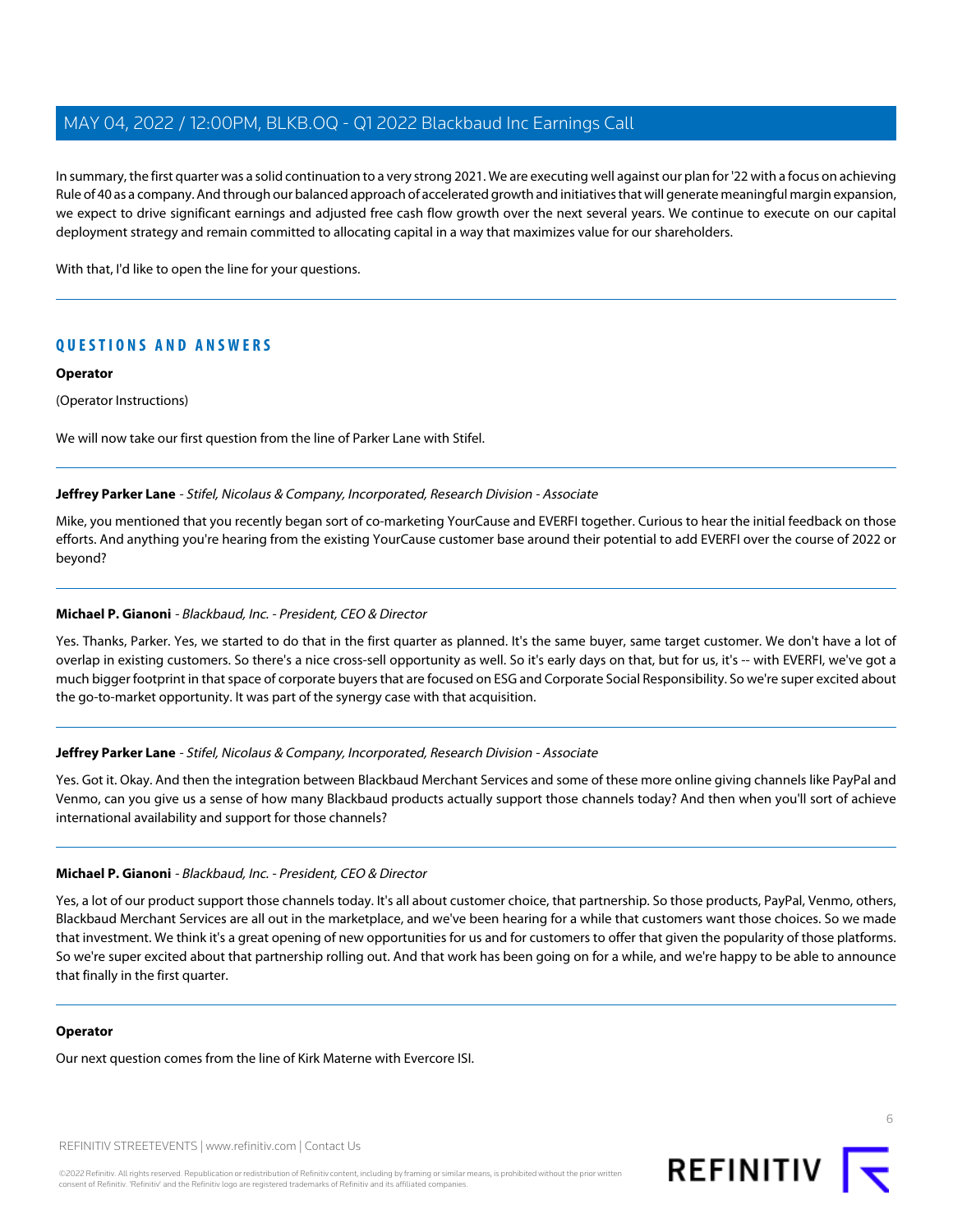In summary, the first quarter was a solid continuation to a very strong 2021. We are executing well against our plan for '22 with a focus on achieving Rule of 40 as a company. And through our balanced approach of accelerated growth and initiatives that will generate meaningful margin expansion, we expect to drive significant earnings and adjusted free cash flow growth over the next several years. We continue to execute on our capital deployment strategy and remain committed to allocating capital in a way that maximizes value for our shareholders.

With that, I'd like to open the line for your questions.

# **QUESTIONS AND ANSWERS**

#### **Operator**

(Operator Instructions)

<span id="page-5-0"></span>We will now take our first question from the line of Parker Lane with Stifel.

#### **Jeffrey Parker Lane** - Stifel, Nicolaus & Company, Incorporated, Research Division - Associate

Mike, you mentioned that you recently began sort of co-marketing YourCause and EVERFI together. Curious to hear the initial feedback on those efforts. And anything you're hearing from the existing YourCause customer base around their potential to add EVERFI over the course of 2022 or beyond?

#### **Michael P. Gianoni** - Blackbaud, Inc. - President, CEO & Director

Yes. Thanks, Parker. Yes, we started to do that in the first quarter as planned. It's the same buyer, same target customer. We don't have a lot of overlap in existing customers. So there's a nice cross-sell opportunity as well. So it's early days on that, but for us, it's -- with EVERFI, we've got a much bigger footprint in that space of corporate buyers that are focused on ESG and Corporate Social Responsibility. So we're super excited about the go-to-market opportunity. It was part of the synergy case with that acquisition.

## **Jeffrey Parker Lane** - Stifel, Nicolaus & Company, Incorporated, Research Division - Associate

Yes. Got it. Okay. And then the integration between Blackbaud Merchant Services and some of these more online giving channels like PayPal and Venmo, can you give us a sense of how many Blackbaud products actually support those channels today? And then when you'll sort of achieve international availability and support for those channels?

#### **Michael P. Gianoni** - Blackbaud, Inc. - President, CEO & Director

Yes, a lot of our product support those channels today. It's all about customer choice, that partnership. So those products, PayPal, Venmo, others, Blackbaud Merchant Services are all out in the marketplace, and we've been hearing for a while that customers want those choices. So we made that investment. We think it's a great opening of new opportunities for us and for customers to offer that given the popularity of those platforms. So we're super excited about that partnership rolling out. And that work has been going on for a while, and we're happy to be able to announce that finally in the first quarter.

#### **Operator**

Our next question comes from the line of Kirk Materne with Evercore ISI.

REFINITIV STREETEVENTS | [www.refinitiv.com](https://www.refinitiv.com/) | [Contact Us](https://www.refinitiv.com/en/contact-us)

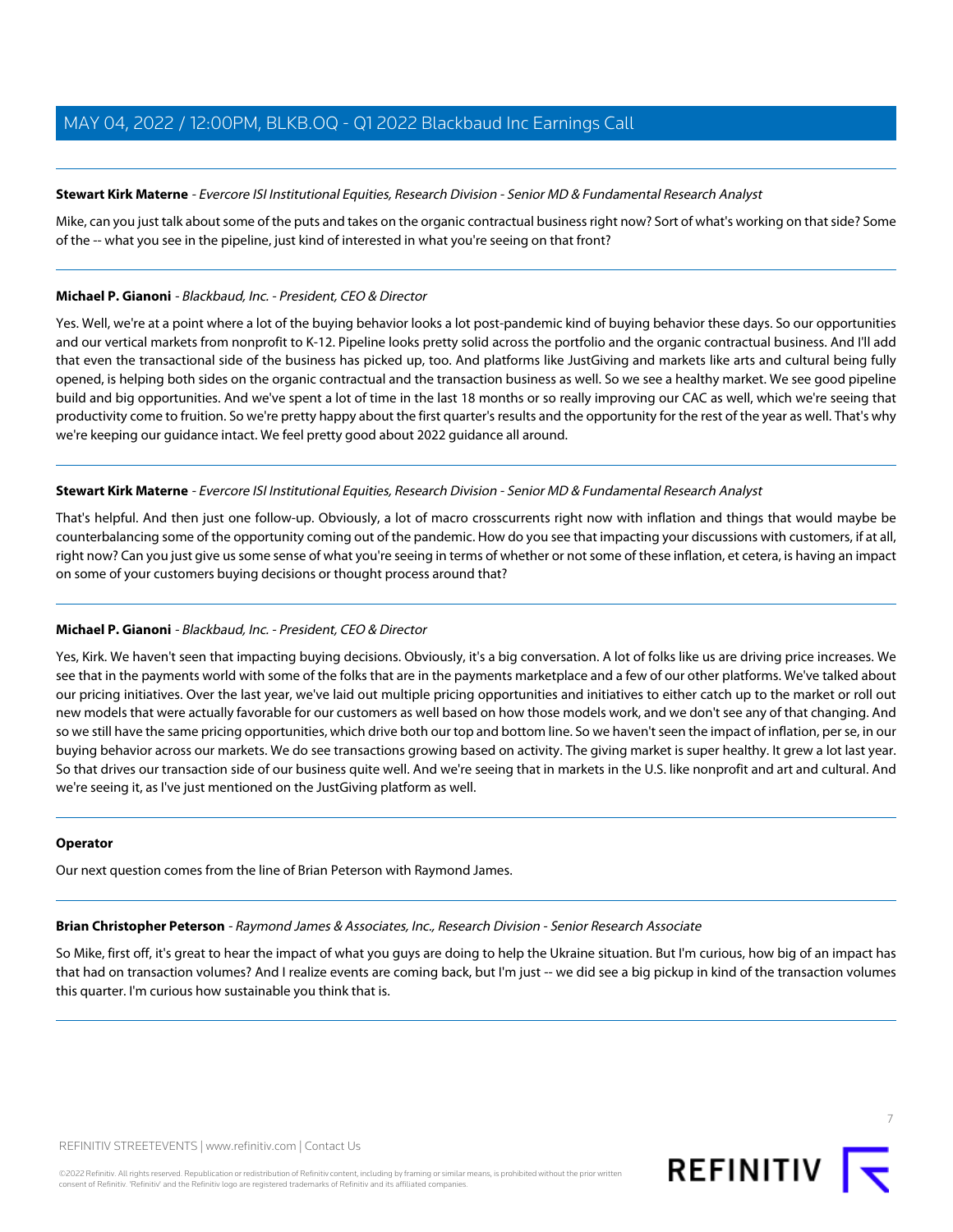## <span id="page-6-1"></span>**Stewart Kirk Materne** - Evercore ISI Institutional Equities, Research Division - Senior MD & Fundamental Research Analyst

Mike, can you just talk about some of the puts and takes on the organic contractual business right now? Sort of what's working on that side? Some of the -- what you see in the pipeline, just kind of interested in what you're seeing on that front?

#### **Michael P. Gianoni** - Blackbaud, Inc. - President, CEO & Director

Yes. Well, we're at a point where a lot of the buying behavior looks a lot post-pandemic kind of buying behavior these days. So our opportunities and our vertical markets from nonprofit to K-12. Pipeline looks pretty solid across the portfolio and the organic contractual business. And I'll add that even the transactional side of the business has picked up, too. And platforms like JustGiving and markets like arts and cultural being fully opened, is helping both sides on the organic contractual and the transaction business as well. So we see a healthy market. We see good pipeline build and big opportunities. And we've spent a lot of time in the last 18 months or so really improving our CAC as well, which we're seeing that productivity come to fruition. So we're pretty happy about the first quarter's results and the opportunity for the rest of the year as well. That's why we're keeping our guidance intact. We feel pretty good about 2022 guidance all around.

#### **Stewart Kirk Materne** - Evercore ISI Institutional Equities, Research Division - Senior MD & Fundamental Research Analyst

That's helpful. And then just one follow-up. Obviously, a lot of macro crosscurrents right now with inflation and things that would maybe be counterbalancing some of the opportunity coming out of the pandemic. How do you see that impacting your discussions with customers, if at all, right now? Can you just give us some sense of what you're seeing in terms of whether or not some of these inflation, et cetera, is having an impact on some of your customers buying decisions or thought process around that?

## **Michael P. Gianoni** - Blackbaud, Inc. - President, CEO & Director

Yes, Kirk. We haven't seen that impacting buying decisions. Obviously, it's a big conversation. A lot of folks like us are driving price increases. We see that in the payments world with some of the folks that are in the payments marketplace and a few of our other platforms. We've talked about our pricing initiatives. Over the last year, we've laid out multiple pricing opportunities and initiatives to either catch up to the market or roll out new models that were actually favorable for our customers as well based on how those models work, and we don't see any of that changing. And so we still have the same pricing opportunities, which drive both our top and bottom line. So we haven't seen the impact of inflation, per se, in our buying behavior across our markets. We do see transactions growing based on activity. The giving market is super healthy. It grew a lot last year. So that drives our transaction side of our business quite well. And we're seeing that in markets in the U.S. like nonprofit and art and cultural. And we're seeing it, as I've just mentioned on the JustGiving platform as well.

#### <span id="page-6-0"></span>**Operator**

Our next question comes from the line of Brian Peterson with Raymond James.

#### **Brian Christopher Peterson** - Raymond James & Associates, Inc., Research Division - Senior Research Associate

So Mike, first off, it's great to hear the impact of what you guys are doing to help the Ukraine situation. But I'm curious, how big of an impact has that had on transaction volumes? And I realize events are coming back, but I'm just -- we did see a big pickup in kind of the transaction volumes this quarter. I'm curious how sustainable you think that is.

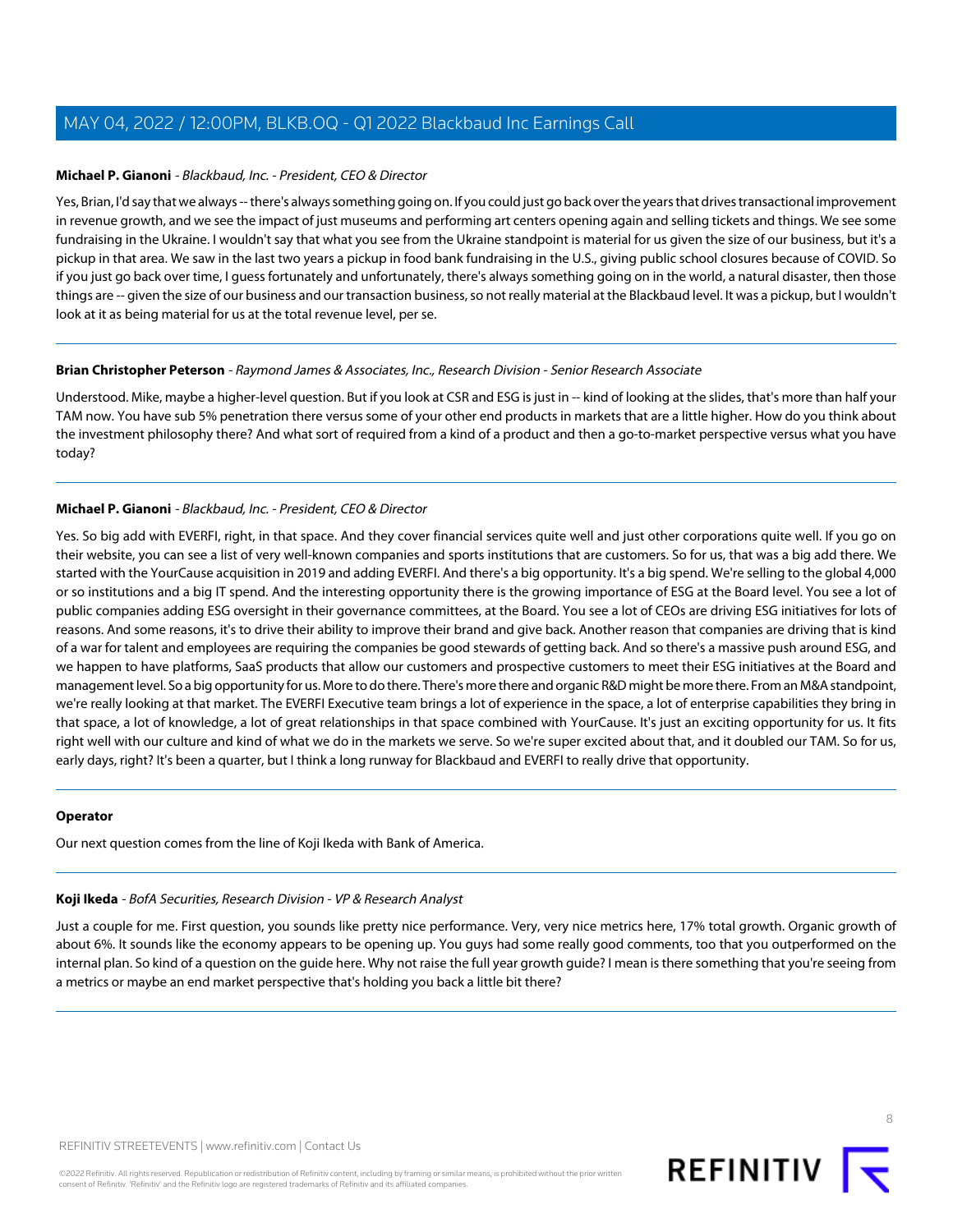#### **Michael P. Gianoni** - Blackbaud, Inc. - President, CEO & Director

Yes, Brian, I'd say that we always -- there's always something going on. If you could just go back over the years that drives transactional improvement in revenue growth, and we see the impact of just museums and performing art centers opening again and selling tickets and things. We see some fundraising in the Ukraine. I wouldn't say that what you see from the Ukraine standpoint is material for us given the size of our business, but it's a pickup in that area. We saw in the last two years a pickup in food bank fundraising in the U.S., giving public school closures because of COVID. So if you just go back over time, I guess fortunately and unfortunately, there's always something going on in the world, a natural disaster, then those things are -- given the size of our business and our transaction business, so not really material at the Blackbaud level. It was a pickup, but I wouldn't look at it as being material for us at the total revenue level, per se.

#### **Brian Christopher Peterson** - Raymond James & Associates, Inc., Research Division - Senior Research Associate

Understood. Mike, maybe a higher-level question. But if you look at CSR and ESG is just in -- kind of looking at the slides, that's more than half your TAM now. You have sub 5% penetration there versus some of your other end products in markets that are a little higher. How do you think about the investment philosophy there? And what sort of required from a kind of a product and then a go-to-market perspective versus what you have today?

## **Michael P. Gianoni** - Blackbaud, Inc. - President, CEO & Director

Yes. So big add with EVERFI, right, in that space. And they cover financial services quite well and just other corporations quite well. If you go on their website, you can see a list of very well-known companies and sports institutions that are customers. So for us, that was a big add there. We started with the YourCause acquisition in 2019 and adding EVERFI. And there's a big opportunity. It's a big spend. We're selling to the global 4,000 or so institutions and a big IT spend. And the interesting opportunity there is the growing importance of ESG at the Board level. You see a lot of public companies adding ESG oversight in their governance committees, at the Board. You see a lot of CEOs are driving ESG initiatives for lots of reasons. And some reasons, it's to drive their ability to improve their brand and give back. Another reason that companies are driving that is kind of a war for talent and employees are requiring the companies be good stewards of getting back. And so there's a massive push around ESG, and we happen to have platforms, SaaS products that allow our customers and prospective customers to meet their ESG initiatives at the Board and management level. So a big opportunity for us. More to do there. There's more there and organic R&D might be more there. From an M&A standpoint, we're really looking at that market. The EVERFI Executive team brings a lot of experience in the space, a lot of enterprise capabilities they bring in that space, a lot of knowledge, a lot of great relationships in that space combined with YourCause. It's just an exciting opportunity for us. It fits right well with our culture and kind of what we do in the markets we serve. So we're super excited about that, and it doubled our TAM. So for us, early days, right? It's been a quarter, but I think a long runway for Blackbaud and EVERFI to really drive that opportunity.

#### <span id="page-7-0"></span>**Operator**

Our next question comes from the line of Koji Ikeda with Bank of America.

#### **Koji Ikeda** - BofA Securities, Research Division - VP & Research Analyst

Just a couple for me. First question, you sounds like pretty nice performance. Very, very nice metrics here, 17% total growth. Organic growth of about 6%. It sounds like the economy appears to be opening up. You guys had some really good comments, too that you outperformed on the internal plan. So kind of a question on the guide here. Why not raise the full year growth guide? I mean is there something that you're seeing from a metrics or maybe an end market perspective that's holding you back a little bit there?



REFINITIV STREETEVENTS | [www.refinitiv.com](https://www.refinitiv.com/) | [Contact Us](https://www.refinitiv.com/en/contact-us)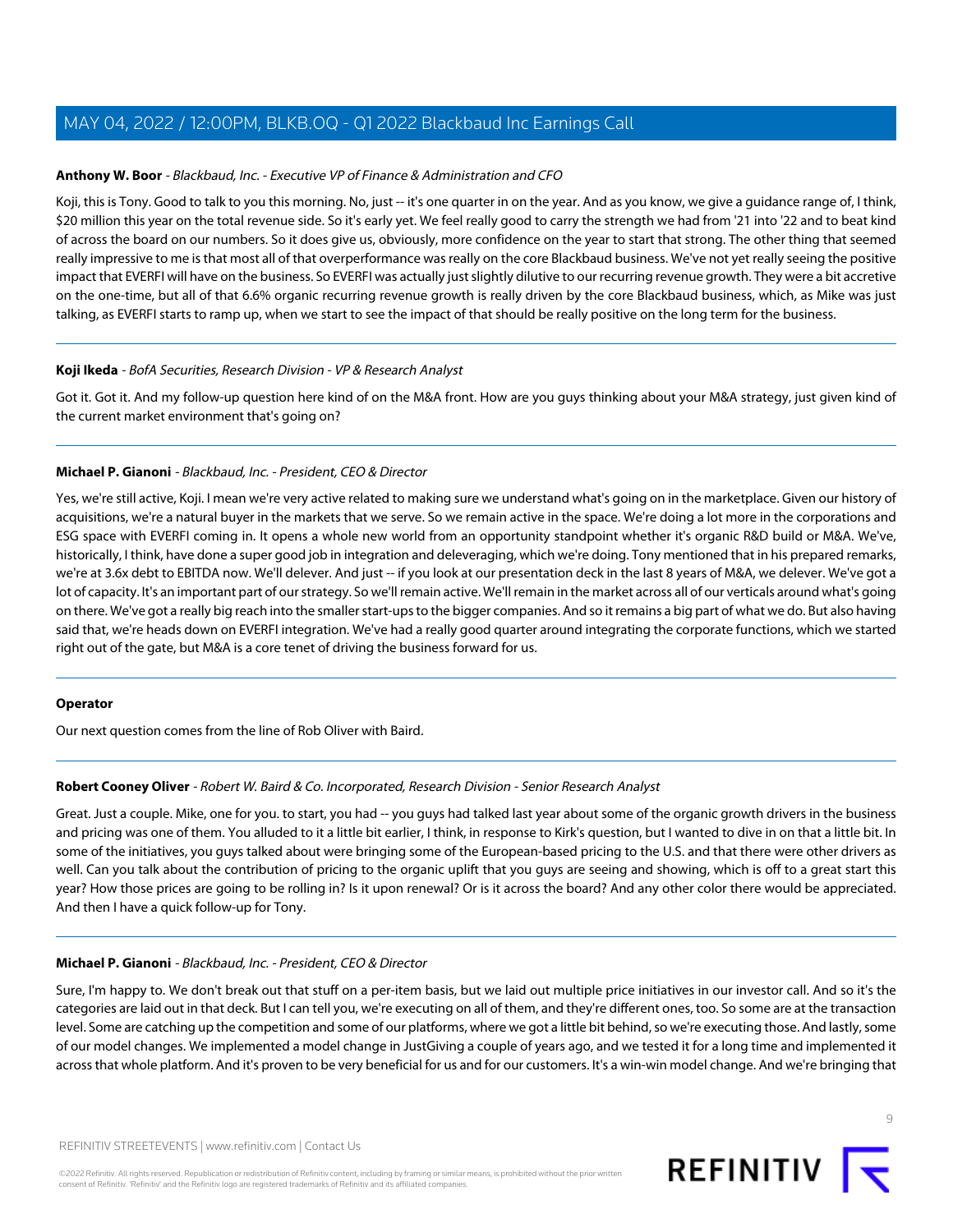## **Anthony W. Boor** - Blackbaud, Inc. - Executive VP of Finance & Administration and CFO

Koji, this is Tony. Good to talk to you this morning. No, just -- it's one quarter in on the year. And as you know, we give a guidance range of, I think, \$20 million this year on the total revenue side. So it's early yet. We feel really good to carry the strength we had from '21 into '22 and to beat kind of across the board on our numbers. So it does give us, obviously, more confidence on the year to start that strong. The other thing that seemed really impressive to me is that most all of that overperformance was really on the core Blackbaud business. We've not yet really seeing the positive impact that EVERFI will have on the business. So EVERFI was actually just slightly dilutive to our recurring revenue growth. They were a bit accretive on the one-time, but all of that 6.6% organic recurring revenue growth is really driven by the core Blackbaud business, which, as Mike was just talking, as EVERFI starts to ramp up, when we start to see the impact of that should be really positive on the long term for the business.

## **Koji Ikeda** - BofA Securities, Research Division - VP & Research Analyst

Got it. Got it. And my follow-up question here kind of on the M&A front. How are you guys thinking about your M&A strategy, just given kind of the current market environment that's going on?

## **Michael P. Gianoni** - Blackbaud, Inc. - President, CEO & Director

Yes, we're still active, Koji. I mean we're very active related to making sure we understand what's going on in the marketplace. Given our history of acquisitions, we're a natural buyer in the markets that we serve. So we remain active in the space. We're doing a lot more in the corporations and ESG space with EVERFI coming in. It opens a whole new world from an opportunity standpoint whether it's organic R&D build or M&A. We've, historically, I think, have done a super good job in integration and deleveraging, which we're doing. Tony mentioned that in his prepared remarks, we're at 3.6x debt to EBITDA now. We'll delever. And just -- if you look at our presentation deck in the last 8 years of M&A, we delever. We've got a lot of capacity. It's an important part of our strategy. So we'll remain active. We'll remain in the market across all of our verticals around what's going on there. We've got a really big reach into the smaller start-ups to the bigger companies. And so it remains a big part of what we do. But also having said that, we're heads down on EVERFI integration. We've had a really good quarter around integrating the corporate functions, which we started right out of the gate, but M&A is a core tenet of driving the business forward for us.

## <span id="page-8-0"></span>**Operator**

Our next question comes from the line of Rob Oliver with Baird.

## **Robert Cooney Oliver** - Robert W. Baird & Co. Incorporated, Research Division - Senior Research Analyst

Great. Just a couple. Mike, one for you. to start, you had -- you guys had talked last year about some of the organic growth drivers in the business and pricing was one of them. You alluded to it a little bit earlier, I think, in response to Kirk's question, but I wanted to dive in on that a little bit. In some of the initiatives, you guys talked about were bringing some of the European-based pricing to the U.S. and that there were other drivers as well. Can you talk about the contribution of pricing to the organic uplift that you guys are seeing and showing, which is off to a great start this year? How those prices are going to be rolling in? Is it upon renewal? Or is it across the board? And any other color there would be appreciated. And then I have a quick follow-up for Tony.

## **Michael P. Gianoni** - Blackbaud, Inc. - President, CEO & Director

Sure, I'm happy to. We don't break out that stuff on a per-item basis, but we laid out multiple price initiatives in our investor call. And so it's the categories are laid out in that deck. But I can tell you, we're executing on all of them, and they're different ones, too. So some are at the transaction level. Some are catching up the competition and some of our platforms, where we got a little bit behind, so we're executing those. And lastly, some of our model changes. We implemented a model change in JustGiving a couple of years ago, and we tested it for a long time and implemented it across that whole platform. And it's proven to be very beneficial for us and for our customers. It's a win-win model change. And we're bringing that

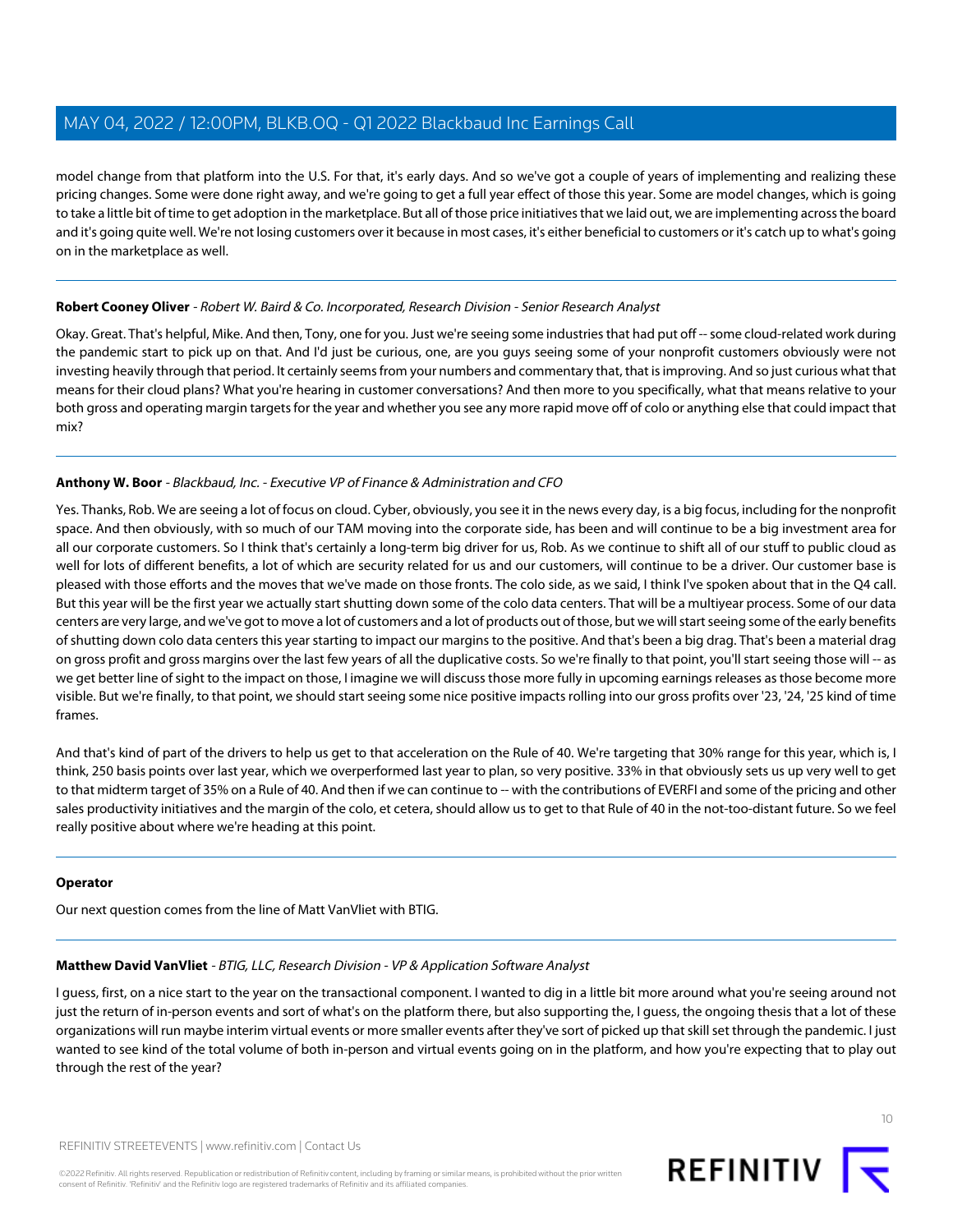model change from that platform into the U.S. For that, it's early days. And so we've got a couple of years of implementing and realizing these pricing changes. Some were done right away, and we're going to get a full year effect of those this year. Some are model changes, which is going to take a little bit of time to get adoption in the marketplace. But all of those price initiatives that we laid out, we are implementing across the board and it's going quite well. We're not losing customers over it because in most cases, it's either beneficial to customers or it's catch up to what's going on in the marketplace as well.

## **Robert Cooney Oliver** - Robert W. Baird & Co. Incorporated, Research Division - Senior Research Analyst

Okay. Great. That's helpful, Mike. And then, Tony, one for you. Just we're seeing some industries that had put off -- some cloud-related work during the pandemic start to pick up on that. And I'd just be curious, one, are you guys seeing some of your nonprofit customers obviously were not investing heavily through that period. It certainly seems from your numbers and commentary that, that is improving. And so just curious what that means for their cloud plans? What you're hearing in customer conversations? And then more to you specifically, what that means relative to your both gross and operating margin targets for the year and whether you see any more rapid move off of colo or anything else that could impact that mix?

# **Anthony W. Boor** - Blackbaud, Inc. - Executive VP of Finance & Administration and CFO

Yes. Thanks, Rob. We are seeing a lot of focus on cloud. Cyber, obviously, you see it in the news every day, is a big focus, including for the nonprofit space. And then obviously, with so much of our TAM moving into the corporate side, has been and will continue to be a big investment area for all our corporate customers. So I think that's certainly a long-term big driver for us, Rob. As we continue to shift all of our stuff to public cloud as well for lots of different benefits, a lot of which are security related for us and our customers, will continue to be a driver. Our customer base is pleased with those efforts and the moves that we've made on those fronts. The colo side, as we said, I think I've spoken about that in the Q4 call. But this year will be the first year we actually start shutting down some of the colo data centers. That will be a multiyear process. Some of our data centers are very large, and we've got to move a lot of customers and a lot of products out of those, but we will start seeing some of the early benefits of shutting down colo data centers this year starting to impact our margins to the positive. And that's been a big drag. That's been a material drag on gross profit and gross margins over the last few years of all the duplicative costs. So we're finally to that point, you'll start seeing those will -- as we get better line of sight to the impact on those, I imagine we will discuss those more fully in upcoming earnings releases as those become more visible. But we're finally, to that point, we should start seeing some nice positive impacts rolling into our gross profits over '23, '24, '25 kind of time frames.

And that's kind of part of the drivers to help us get to that acceleration on the Rule of 40. We're targeting that 30% range for this year, which is, I think, 250 basis points over last year, which we overperformed last year to plan, so very positive. 33% in that obviously sets us up very well to get to that midterm target of 35% on a Rule of 40. And then if we can continue to -- with the contributions of EVERFI and some of the pricing and other sales productivity initiatives and the margin of the colo, et cetera, should allow us to get to that Rule of 40 in the not-too-distant future. So we feel really positive about where we're heading at this point.

## <span id="page-9-0"></span>**Operator**

Our next question comes from the line of Matt VanVliet with BTIG.

## **Matthew David VanVliet** - BTIG, LLC, Research Division - VP & Application Software Analyst

I guess, first, on a nice start to the year on the transactional component. I wanted to dig in a little bit more around what you're seeing around not just the return of in-person events and sort of what's on the platform there, but also supporting the, I guess, the ongoing thesis that a lot of these organizations will run maybe interim virtual events or more smaller events after they've sort of picked up that skill set through the pandemic. I just wanted to see kind of the total volume of both in-person and virtual events going on in the platform, and how you're expecting that to play out through the rest of the year?

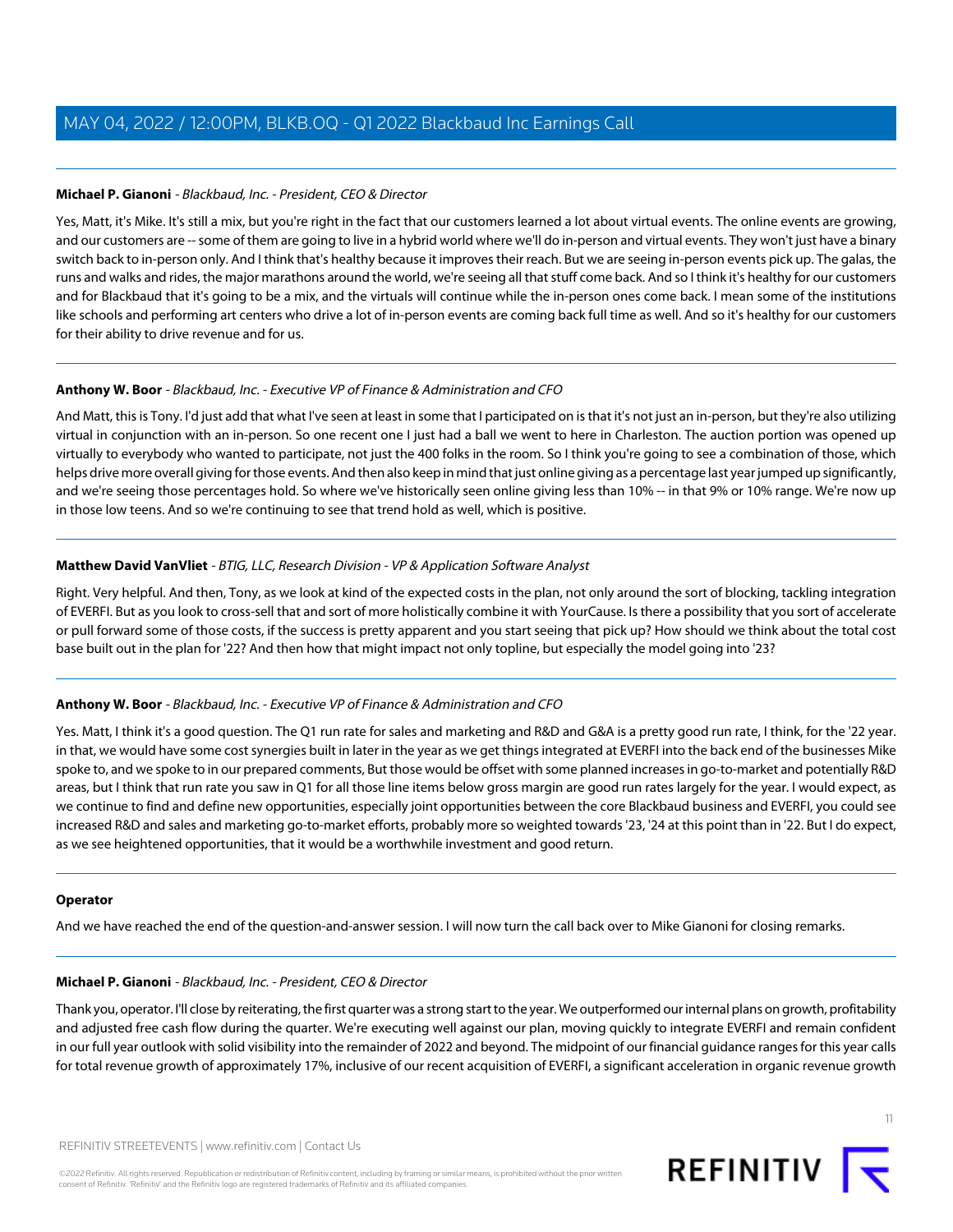## **Michael P. Gianoni** - Blackbaud, Inc. - President, CEO & Director

Yes, Matt, it's Mike. It's still a mix, but you're right in the fact that our customers learned a lot about virtual events. The online events are growing, and our customers are -- some of them are going to live in a hybrid world where we'll do in-person and virtual events. They won't just have a binary switch back to in-person only. And I think that's healthy because it improves their reach. But we are seeing in-person events pick up. The galas, the runs and walks and rides, the major marathons around the world, we're seeing all that stuff come back. And so I think it's healthy for our customers and for Blackbaud that it's going to be a mix, and the virtuals will continue while the in-person ones come back. I mean some of the institutions like schools and performing art centers who drive a lot of in-person events are coming back full time as well. And so it's healthy for our customers for their ability to drive revenue and for us.

## **Anthony W. Boor** - Blackbaud, Inc. - Executive VP of Finance & Administration and CFO

And Matt, this is Tony. I'd just add that what I've seen at least in some that I participated on is that it's not just an in-person, but they're also utilizing virtual in conjunction with an in-person. So one recent one I just had a ball we went to here in Charleston. The auction portion was opened up virtually to everybody who wanted to participate, not just the 400 folks in the room. So I think you're going to see a combination of those, which helps drive more overall giving for those events. And then also keep in mind that just online giving as a percentage last year jumped up significantly, and we're seeing those percentages hold. So where we've historically seen online giving less than 10% -- in that 9% or 10% range. We're now up in those low teens. And so we're continuing to see that trend hold as well, which is positive.

## **Matthew David VanVliet** - BTIG, LLC, Research Division - VP & Application Software Analyst

Right. Very helpful. And then, Tony, as we look at kind of the expected costs in the plan, not only around the sort of blocking, tackling integration of EVERFI. But as you look to cross-sell that and sort of more holistically combine it with YourCause. Is there a possibility that you sort of accelerate or pull forward some of those costs, if the success is pretty apparent and you start seeing that pick up? How should we think about the total cost base built out in the plan for '22? And then how that might impact not only topline, but especially the model going into '23?

## **Anthony W. Boor** - Blackbaud, Inc. - Executive VP of Finance & Administration and CFO

Yes. Matt, I think it's a good question. The Q1 run rate for sales and marketing and R&D and G&A is a pretty good run rate, I think, for the '22 year. in that, we would have some cost synergies built in later in the year as we get things integrated at EVERFI into the back end of the businesses Mike spoke to, and we spoke to in our prepared comments, But those would be offset with some planned increases in go-to-market and potentially R&D areas, but I think that run rate you saw in Q1 for all those line items below gross margin are good run rates largely for the year. I would expect, as we continue to find and define new opportunities, especially joint opportunities between the core Blackbaud business and EVERFI, you could see increased R&D and sales and marketing go-to-market efforts, probably more so weighted towards '23, '24 at this point than in '22. But I do expect, as we see heightened opportunities, that it would be a worthwhile investment and good return.

## **Operator**

And we have reached the end of the question-and-answer session. I will now turn the call back over to Mike Gianoni for closing remarks.

## **Michael P. Gianoni** - Blackbaud, Inc. - President, CEO & Director

Thank you, operator. I'll close by reiterating, the first quarter was a strong start to the year. We outperformed our internal plans on growth, profitability and adjusted free cash flow during the quarter. We're executing well against our plan, moving quickly to integrate EVERFI and remain confident in our full year outlook with solid visibility into the remainder of 2022 and beyond. The midpoint of our financial guidance ranges for this year calls for total revenue growth of approximately 17%, inclusive of our recent acquisition of EVERFI, a significant acceleration in organic revenue growth

©2022 Refinitiv. All rights reserved. Republication or redistribution of Refinitiv content, including by framing or similar means, is prohibited without the prior written consent of Refinitiv. 'Refinitiv' and the Refinitiv logo are registered trademarks of Refinitiv and its affiliated companies.